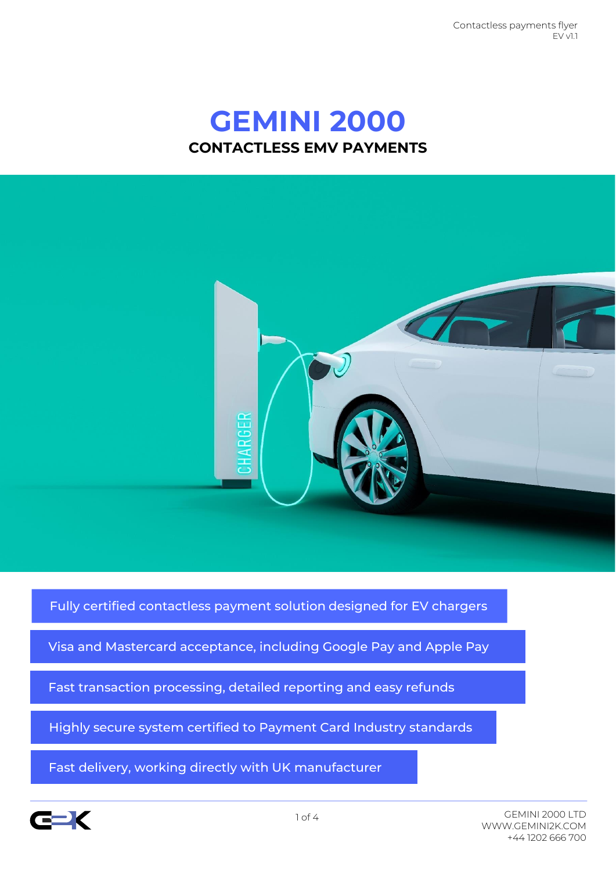Contactless payments flyer EV v11

# **GEMINI 2000 CONTACTLESS EMV PAYMENTS**



Fully certified contactless payment solution designed for EV chargers

Visa and Mastercard acceptance, including Google Pay and Apple Pay

Fast transaction processing, detailed reporting and easy refunds

Highly secure system certified to Payment Card Industry standards

Fast delivery, working directly with UK manufacturer

sadsadfdsstandardsstandards

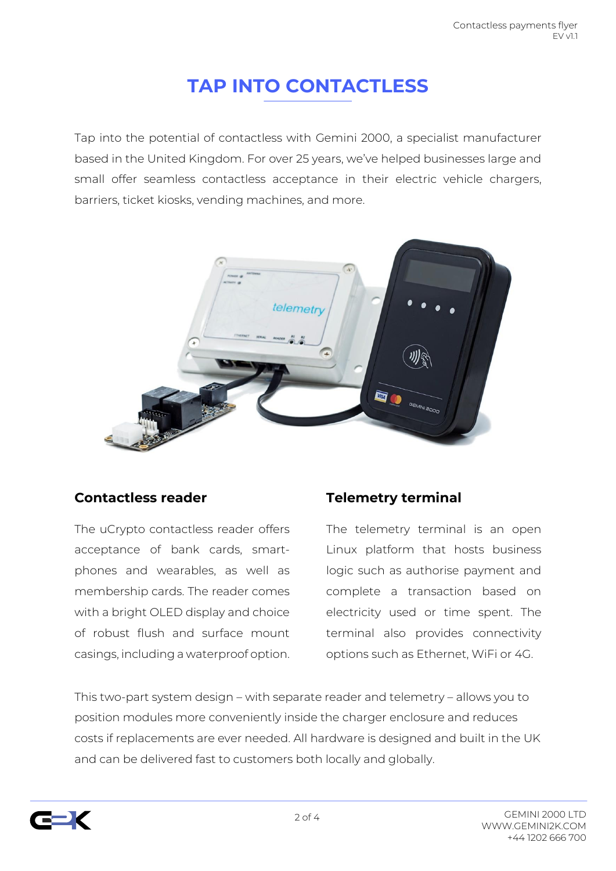## **TAP INTO CONTACTLESS**

Tap into the potential of contactless with Gemini 2000, a specialist manufacturer based in the United Kingdom. For over 25 years, we've helped businesses large and small offer seamless contactless acceptance in their electric vehicle chargers, barriers, ticket kiosks, vending machines, and more.



#### **Contactless reader**

The uCrypto contactless reader offers acceptance of bank cards, smartphones and wearables, as well as membership cards. The reader comes with a bright OLED display and choice of robust flush and surface mount casings, including a waterproof option.

### **Telemetry terminal**

The telemetry terminal is an open Linux platform that hosts business logic such as authorise payment and complete a transaction based on electricity used or time spent. The terminal also provides connectivity options such as Ethernet, WiFi or 4G.

This two-part system design – with separate reader and telemetry – allows you to position modules more conveniently inside the charger enclosure and reduces costs if replacements are ever needed. All hardware is designed and built in the UK and can be delivered fast to customers both locally and globally.

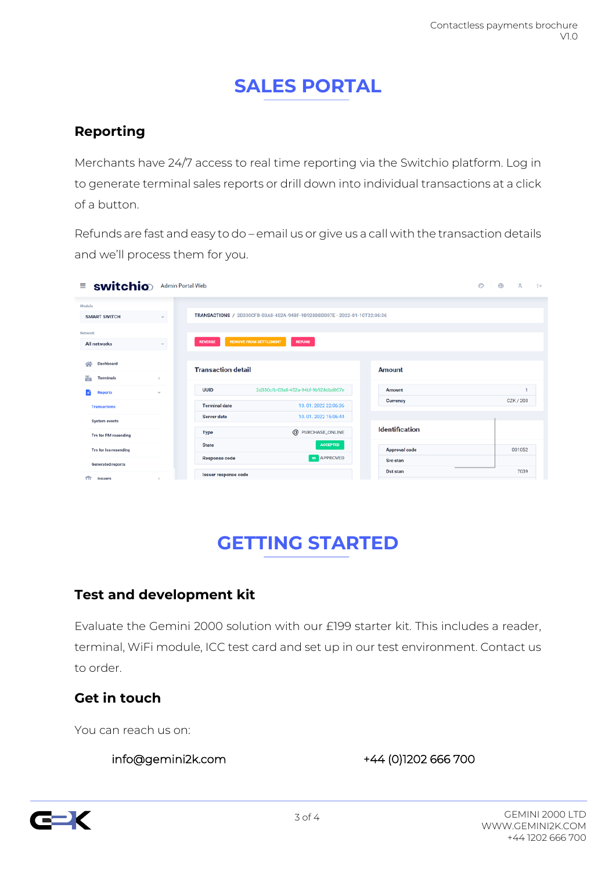## **SALES PORTAL**

### **Reporting**

Merchants have 24/7 access to real time reporting via the Switchio platform. Log in to generate terminal sales reports or drill down into individual transactions at a click of a button.

Refunds are fast and easy to do – email us or give us a call with the transaction details and we'll process them for you.

| $\equiv$ switchio                             |               | Admin Portal Web                                                        |                                          |                       |           |
|-----------------------------------------------|---------------|-------------------------------------------------------------------------|------------------------------------------|-----------------------|-----------|
| Module<br><b>SMART SWITCH</b>                 | $\mathcal{L}$ | TRANSACTIONS / 2D330CFB-03A8-452A-94BF-9B928DBD007E-2022-01-10T22:06:36 |                                          |                       |           |
| Network<br>All networks                       | $\mathcal{L}$ | <b>REMOVE FROM SETTLEMENT</b><br><b>REVERSE</b>                         | <b>REFUND</b>                            |                       |           |
| Dashboard<br>≪<br>菡<br>Terminals              | $\epsilon$    | <b>Transaction detail</b>                                               |                                          | Amount                |           |
| <b>Reports</b>                                | $\sim$        | <b>UUID</b>                                                             | 2d330cfb-03a8-452a-94bf-9b928dbd007e     | Amount                | 1         |
| <b>Transactions</b>                           |               | <b>Terminal date</b>                                                    | 10.01.2022 22:06:36                      | <b>Currency</b>       | CZK / 203 |
| <b>System events</b>                          |               | <b>Server date</b>                                                      | 10.01.2022 15:06:44<br>@ PURCHASE_ONLINE | <b>Identification</b> |           |
| Trn for PM resending<br>Trn for Iss resending |               | <b>Type</b><br><b>State</b>                                             | <b>ACCEPTED</b>                          | <b>Approval code</b>  | 001052    |
| <b>Generated reports</b>                      |               | <b>Response code</b>                                                    | <b>BO</b> APPROVED                       | <b>Src</b> stan       |           |
| $\overline{111}$<br>Issuers                   | $\epsilon$    | Issuer response code                                                    |                                          | <b>Dst stan</b>       | 7039      |

# **GETTING STARTED**

### **Test and development kit**

Evaluate the Gemini 2000 solution with our £199 starter kit. This includes a reader, terminal, WiFi module, ICC test card and set up in our test environment. Contact us to order.

### **Get in touch**

You can reach us on:

info@gemini2k.com +44 (0)1202 666 700